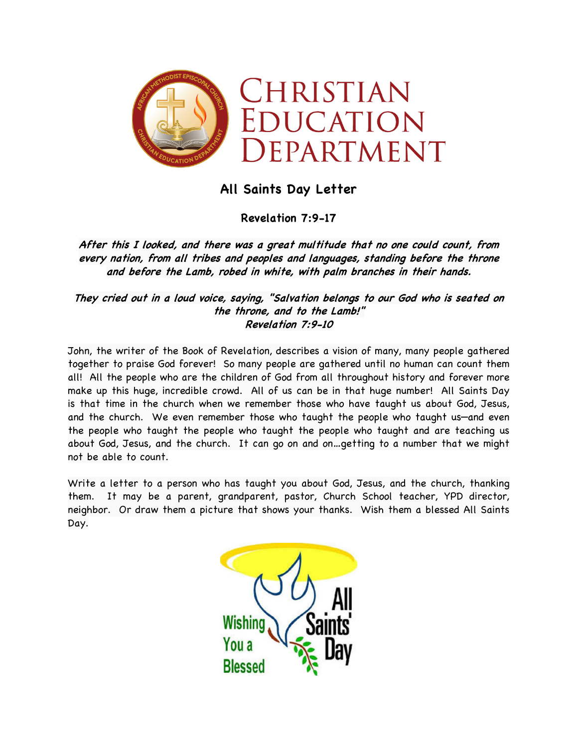

## **All Saints Day Letter**

**Revelation 7:9-17**

**After this I looked, and there was a great multitude that no one could count, from every nation, from all tribes and peoples and languages, standing before the throne and before the Lamb, robed in white, with palm branches in their hands.**

**They cried out in a loud voice, saying, "Salvation belongs to our God who is seated on the throne, and to the Lamb!" Revelation 7:9-10**

John, the writer of the Book of Revelation, describes a vision of many, many people gathered together to praise God forever! So many people are gathered until no human can count them all! All the people who are the children of God from all throughout history and forever more make up this huge, incredible crowd. All of us can be in that huge number! All Saints Day is that time in the church when we remember those who have taught us about God, Jesus, and the church. We even remember those who taught the people who taught us—and even the people who taught the people who taught the people who taught and are teaching us about God, Jesus, and the church. It can go on and on…getting to a number that we might not be able to count.

Write a letter to a person who has taught you about God, Jesus, and the church, thanking them. It may be a parent, grandparent, pastor, Church School teacher, YPD director, neighbor. Or draw them a picture that shows your thanks. Wish them a blessed All Saints Day.